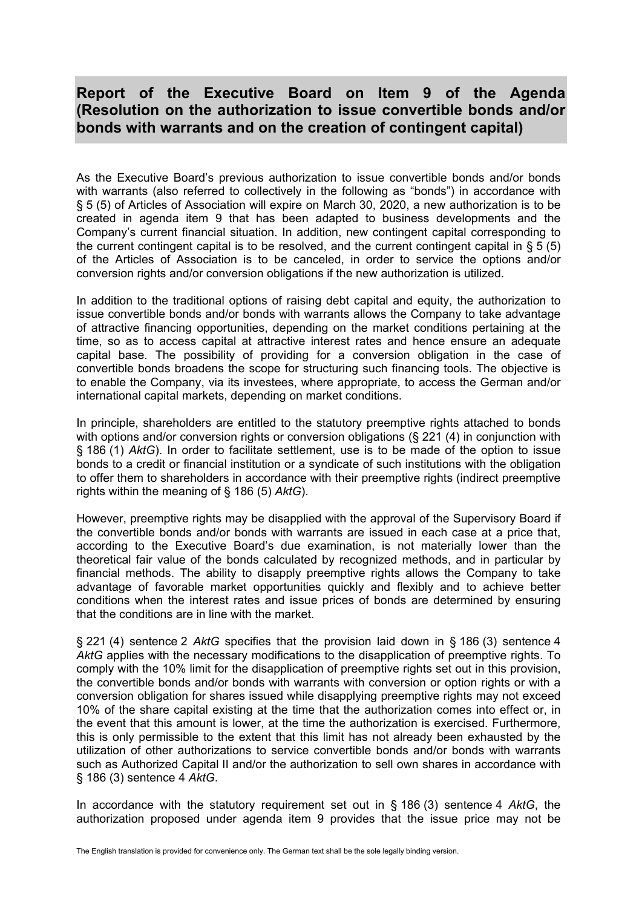## **Report of the Executive Board on Item 9 of the Agenda (Resolution on the authorization to issue convertible bonds and/or bonds with warrants and on the creation of contingent capital)**

As the Executive Board's previous authorization to issue convertible bonds and/or bonds with warrants (also referred to collectively in the following as "bonds") in accordance with § 5 (5) of Articles of Association will expire on March 30, 2020, a new authorization is to be created in agenda item 9 that has been adapted to business developments and the Company's current financial situation. In addition, new contingent capital corresponding to the current contingent capital is to be resolved, and the current contingent capital in § 5 (5) of the Articles of Association is to be canceled, in order to service the options and/or conversion rights and/or conversion obligations if the new authorization is utilized.

In addition to the traditional options of raising debt capital and equity, the authorization to issue convertible bonds and/or bonds with warrants allows the Company to take advantage of attractive financing opportunities, depending on the market conditions pertaining at the time, so as to access capital at attractive interest rates and hence ensure an adequate capital base. The possibility of providing for a conversion obligation in the case of convertible bonds broadens the scope for structuring such financing tools. The objective is to enable the Company, via its investees, where appropriate, to access the German and/or international capital markets, depending on market conditions.

In principle, shareholders are entitled to the statutory preemptive rights attached to bonds with options and/or conversion rights or conversion obligations (§ 221 (4) in conjunction with § 186 (1) *AktG*). In order to facilitate settlement, use is to be made of the option to issue bonds to a credit or financial institution or a syndicate of such institutions with the obligation to offer them to shareholders in accordance with their preemptive rights (indirect preemptive rights within the meaning of § 186 (5) *AktG*).

However, preemptive rights may be disapplied with the approval of the Supervisory Board if the convertible bonds and/or bonds with warrants are issued in each case at a price that, according to the Executive Board's due examination, is not materially lower than the theoretical fair value of the bonds calculated by recognized methods, and in particular by financial methods. The ability to disapply preemptive rights allows the Company to take advantage of favorable market opportunities quickly and flexibly and to achieve better conditions when the interest rates and issue prices of bonds are determined by ensuring that the conditions are in line with the market.

§ 221 (4) sentence 2 *AktG* specifies that the provision laid down in § 186 (3) sentence 4 *AktG* applies with the necessary modifications to the disapplication of preemptive rights. To comply with the 10% limit for the disapplication of preemptive rights set out in this provision, the convertible bonds and/or bonds with warrants with conversion or option rights or with a conversion obligation for shares issued while disapplying preemptive rights may not exceed 10% of the share capital existing at the time that the authorization comes into effect or, in the event that this amount is lower, at the time the authorization is exercised. Furthermore, this is only permissible to the extent that this limit has not already been exhausted by the utilization of other authorizations to service convertible bonds and/or bonds with warrants such as Authorized Capital II and/or the authorization to sell own shares in accordance with § 186 (3) sentence 4 *AktG*.

In accordance with the statutory requirement set out in § 186 (3) sentence 4 *AktG*, the authorization proposed under agenda item 9 provides that the issue price may not be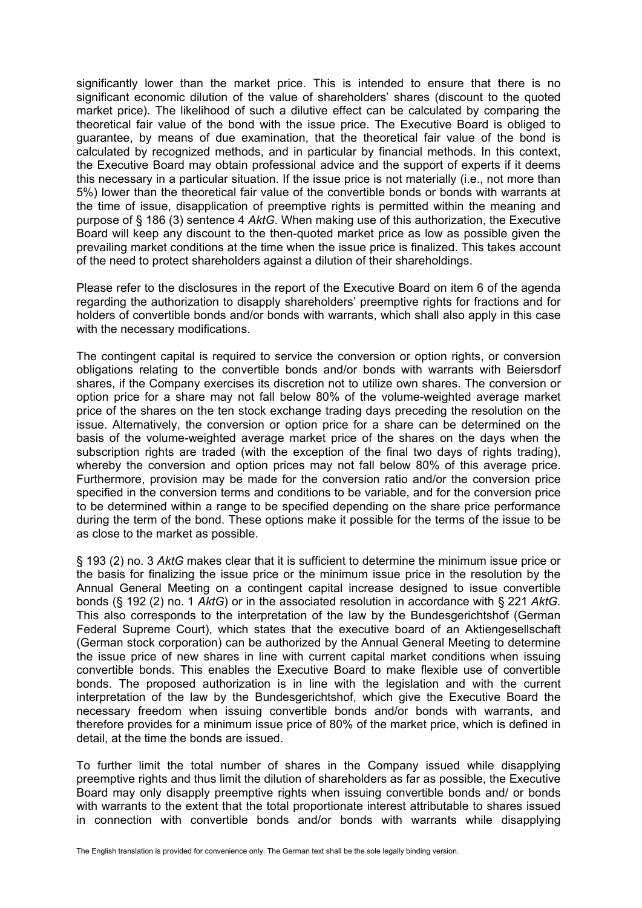significantly lower than the market price. This is intended to ensure that there is no significant economic dilution of the value of shareholders' shares (discount to the quoted market price). The likelihood of such a dilutive effect can be calculated by comparing the theoretical fair value of the bond with the issue price. The Executive Board is obliged to guarantee, by means of due examination, that the theoretical fair value of the bond is calculated by recognized methods, and in particular by financial methods. In this context, the Executive Board may obtain professional advice and the support of experts if it deems this necessary in a particular situation. If the issue price is not materially (i.e., not more than 5%) lower than the theoretical fair value of the convertible bonds or bonds with warrants at the time of issue, disapplication of preemptive rights is permitted within the meaning and purpose of § 186 (3) sentence 4 *AktG*. When making use of this authorization, the Executive Board will keep any discount to the then-quoted market price as low as possible given the prevailing market conditions at the time when the issue price is finalized. This takes account of the need to protect shareholders against a dilution of their shareholdings.

Please refer to the disclosures in the report of the Executive Board on item 6 of the agenda regarding the authorization to disapply shareholders' preemptive rights for fractions and for holders of convertible bonds and/or bonds with warrants, which shall also apply in this case with the necessary modifications.

The contingent capital is required to service the conversion or option rights, or conversion obligations relating to the convertible bonds and/or bonds with warrants with Beiersdorf shares, if the Company exercises its discretion not to utilize own shares. The conversion or option price for a share may not fall below 80% of the volume-weighted average market price of the shares on the ten stock exchange trading days preceding the resolution on the issue. Alternatively, the conversion or option price for a share can be determined on the basis of the volume-weighted average market price of the shares on the days when the subscription rights are traded (with the exception of the final two days of rights trading), whereby the conversion and option prices may not fall below 80% of this average price. Furthermore, provision may be made for the conversion ratio and/or the conversion price specified in the conversion terms and conditions to be variable, and for the conversion price to be determined within a range to be specified depending on the share price performance during the term of the bond. These options make it possible for the terms of the issue to be as close to the market as possible.

§ 193 (2) no. 3 *AktG* makes clear that it is sufficient to determine the minimum issue price or the basis for finalizing the issue price or the minimum issue price in the resolution by the Annual General Meeting on a contingent capital increase designed to issue convertible bonds (§ 192 (2) no. 1 *AktG*) or in the associated resolution in accordance with § 221 *AktG.* This also corresponds to the interpretation of the law by the Bundesgerichtshof (German Federal Supreme Court), which states that the executive board of an Aktiengesellschaft (German stock corporation) can be authorized by the Annual General Meeting to determine the issue price of new shares in line with current capital market conditions when issuing convertible bonds. This enables the Executive Board to make flexible use of convertible bonds. The proposed authorization is in line with the legislation and with the current interpretation of the law by the Bundesgerichtshof, which give the Executive Board the necessary freedom when issuing convertible bonds and/or bonds with warrants, and therefore provides for a minimum issue price of 80% of the market price, which is defined in detail, at the time the bonds are issued.

To further limit the total number of shares in the Company issued while disapplying preemptive rights and thus limit the dilution of shareholders as far as possible, the Executive Board may only disapply preemptive rights when issuing convertible bonds and/ or bonds with warrants to the extent that the total proportionate interest attributable to shares issued in connection with convertible bonds and/or bonds with warrants while disapplying